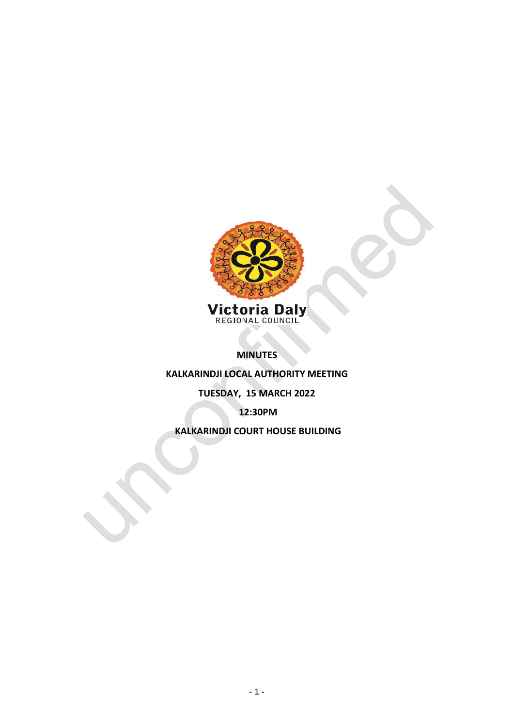

**MINUTES** 

**KALKARINDJI LOCAL AUTHORITY MEETING**

# **TUESDAY, 15 MARCH 2022**

**12:30PM**

**KALKARINDJI COURT HOUSE BUILDING**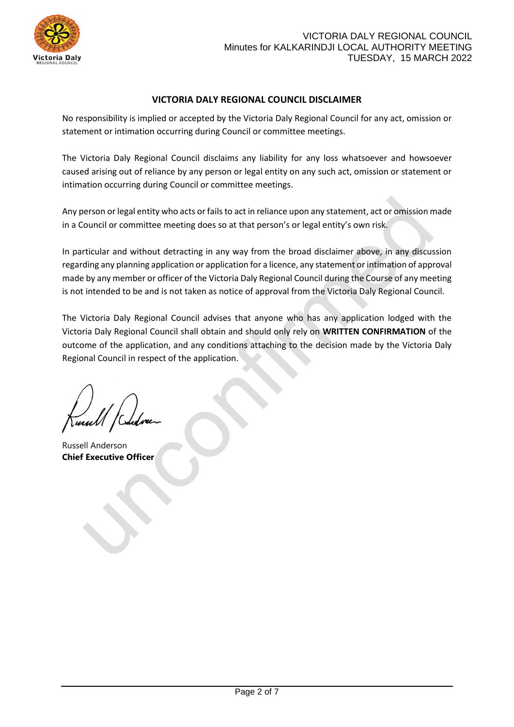

# **VICTORIA DALY REGIONAL COUNCIL DISCLAIMER**

No responsibility is implied or accepted by the Victoria Daly Regional Council for any act, omission or statement or intimation occurring during Council or committee meetings.

The Victoria Daly Regional Council disclaims any liability for any loss whatsoever and howsoever caused arising out of reliance by any person or legal entity on any such act, omission or statement or intimation occurring during Council or committee meetings.

Any person or legal entity who acts or fails to act in reliance upon any statement, act or omission made in a Council or committee meeting does so at that person's or legal entity's own risk.

In particular and without detracting in any way from the broad disclaimer above, in any discussion regarding any planning application or application for a licence, any statement or intimation of approval made by any member or officer of the Victoria Daly Regional Council during the Course of any meeting is not intended to be and is not taken as notice of approval from the Victoria Daly Regional Council.

The Victoria Daly Regional Council advises that anyone who has any application lodged with the Victoria Daly Regional Council shall obtain and should only rely on **WRITTEN CONFIRMATION** of the outcome of the application, and any conditions attaching to the decision made by the Victoria Daly Regional Council in respect of the application.

Russell Anderson **Chief Executive Officer**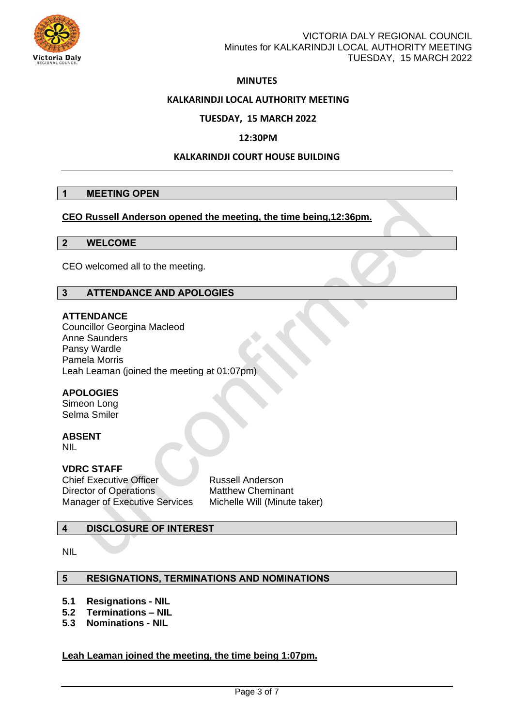

# **MINUTES**

### **KALKARINDJI LOCAL AUTHORITY MEETING**

# **TUESDAY, 15 MARCH 2022**

### **12:30PM**

### **KALKARINDJI COURT HOUSE BUILDING**

### **1 MEETING OPEN**

### **CEO Russell Anderson opened the meeting, the time being,12:36pm.**

### **2 WELCOME**

CEO welcomed all to the meeting.

### **3 ATTENDANCE AND APOLOGIES**

### **ATTENDANCE**

Councillor Georgina Macleod Anne Saunders Pansy Wardle Pamela Morris Leah Leaman (joined the meeting at 01:07pm)

### **APOLOGIES**

Simeon Long Selma Smiler

# **ABSENT**

NIL

# **VDRC STAFF**

**Chief Executive Officer Russell Anderson** Director of Operations Matthew Cheminant Manager of Executive Services Michelle Will (Minute taker)

### **4 DISCLOSURE OF INTEREST**

NIL

#### **5 RESIGNATIONS, TERMINATIONS AND NOMINATIONS**

- **5.1 Resignations - NIL**
- **5.2 Terminations – NIL**
- **5.3 Nominations - NIL**

### **Leah Leaman joined the meeting, the time being 1:07pm.**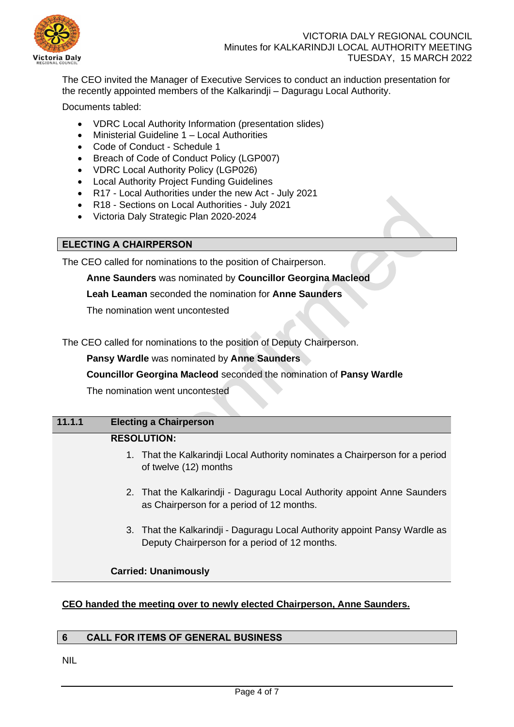

The CEO invited the Manager of Executive Services to conduct an induction presentation for the recently appointed members of the Kalkarindii – Daguragu Local Authority.

Documents tabled:

- VDRC Local Authority Information (presentation slides)
- Ministerial Guideline 1 Local Authorities
- Code of Conduct Schedule 1
- Breach of Code of Conduct Policy (LGP007)
- VDRC Local Authority Policy (LGP026)
- Local Authority Project Funding Guidelines
- R17 Local Authorities under the new Act July 2021
- R18 Sections on Local Authorities July 2021
- Victoria Daly Strategic Plan 2020-2024

# **ELECTING A CHAIRPERSON**

The CEO called for nominations to the position of Chairperson.

**Anne Saunders** was nominated by **Councillor Georgina Macleod**

**Leah Leaman** seconded the nomination for **Anne Saunders**

The nomination went uncontested

The CEO called for nominations to the position of Deputy Chairperson.

**Pansy Wardle** was nominated by **Anne Saunders**

### **Councillor Georgina Macleod** seconded the nomination of **Pansy Wardle**

The nomination went uncontested

# **11.1.1 Electing a Chairperson RESOLUTION:** 1. That the Kalkarindji Local Authority nominates a Chairperson for a period of twelve (12) months

- 2. That the Kalkarindji Daguragu Local Authority appoint Anne Saunders as Chairperson for a period of 12 months.
- 3. That the Kalkarindji Daguragu Local Authority appoint Pansy Wardle as Deputy Chairperson for a period of 12 months.

### **Carried: Unanimously**

# **CEO handed the meeting over to newly elected Chairperson, Anne Saunders.**

### **6 CALL FOR ITEMS OF GENERAL BUSINESS**

NIL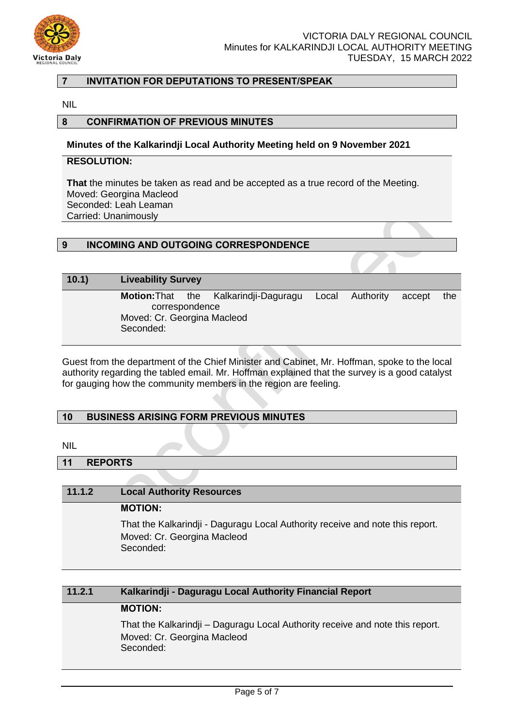

# **7 INVITATION FOR DEPUTATIONS TO PRESENT/SPEAK**

NIL

### **8 CONFIRMATION OF PREVIOUS MINUTES**

#### **Minutes of the Kalkarindji Local Authority Meeting held on 9 November 2021**

### **RESOLUTION:**

**That** the minutes be taken as read and be accepted as a true record of the Meeting. Moved: Georgina Macleod Seconded: Leah Leaman Carried: Unanimously

# **9 INCOMING AND OUTGOING CORRESPONDENCE**

### **10.1) Liveability Survey**

**Motion:**That the Kalkarindji-Daguragu Local Authority accept the correspondence Moved: Cr. Georgina Macleod Seconded:

Guest from the department of the Chief Minister and Cabinet, Mr. Hoffman, spoke to the local authority regarding the tabled email. Mr. Hoffman explained that the survey is a good catalyst for gauging how the community members in the region are feeling.

#### **10 BUSINESS ARISING FORM PREVIOUS MINUTES**

NIL

#### **11 REPORTS**

#### **11.1.2 Local Authority Resources**

**MOTION:**

That the Kalkarindji - Daguragu Local Authority receive and note this report. Moved: Cr. Georgina Macleod Seconded:

# **11.2.1 Kalkarindji - Daguragu Local Authority Financial Report**

# **MOTION:**

That the Kalkarindji – Daguragu Local Authority receive and note this report. Moved: Cr. Georgina Macleod Seconded: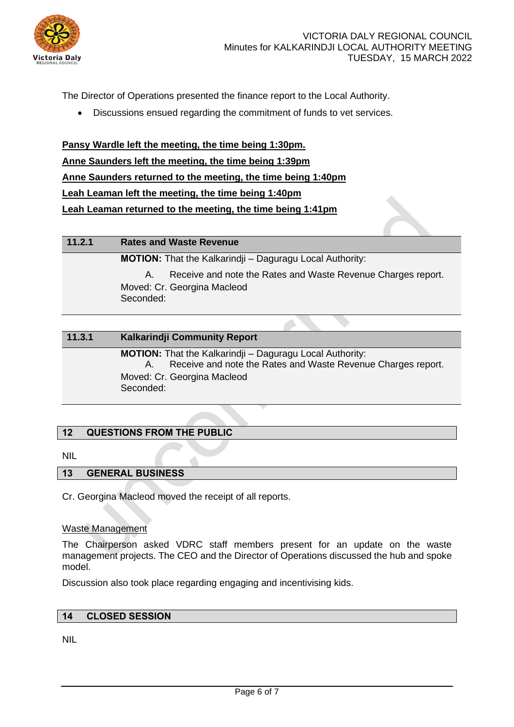

The Director of Operations presented the finance report to the Local Authority.

• Discussions ensued regarding the commitment of funds to vet services.

**Pansy Wardle left the meeting, the time being 1:30pm. Anne Saunders left the meeting, the time being 1:39pm Anne Saunders returned to the meeting, the time being 1:40pm Leah Leaman left the meeting, the time being 1:40pm Leah Leaman returned to the meeting, the time being 1:41pm** 

**11.2.1 Rates and Waste Revenue MOTION:** That the Kalkarindji – Daguragu Local Authority: A. Receive and note the Rates and Waste Revenue Charges report. Moved: Cr. Georgina Macleod Seconded:

| 11.3.1 | Kalkarindji Community Report                                                                                                                                                |
|--------|-----------------------------------------------------------------------------------------------------------------------------------------------------------------------------|
|        | <b>MOTION:</b> That the Kalkarindji – Daguragu Local Authority:<br>Receive and note the Rates and Waste Revenue Charges report.<br>Moved: Cr. Georgina Macleod<br>Seconded: |

# **12 QUESTIONS FROM THE PUBLIC**

NIL

### **13 GENERAL BUSINESS**

Cr. Georgina Macleod moved the receipt of all reports.

#### Waste Management

The Chairperson asked VDRC staff members present for an update on the waste management projects. The CEO and the Director of Operations discussed the hub and spoke model.

Discussion also took place regarding engaging and incentivising kids.

#### **14 CLOSED SESSION**

NIL